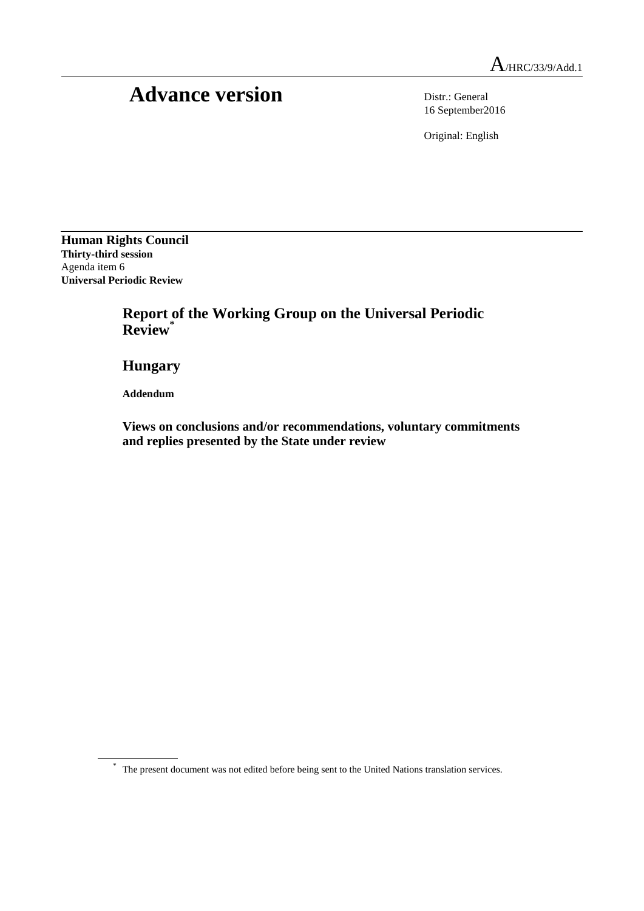# Advance version Distr.: General

16 September2016

Original: English

**Human Rights Council Thirty-third session** Agenda item 6 **Universal Periodic Review**

## **Report of the Working Group on the Universal Periodic Review\***

**Hungary**

**Addendum**

**Views on conclusions and/or recommendations, voluntary commitments and replies presented by the State under review**

<sup>\*</sup> The present document was not edited before being sent to the United Nations translation services.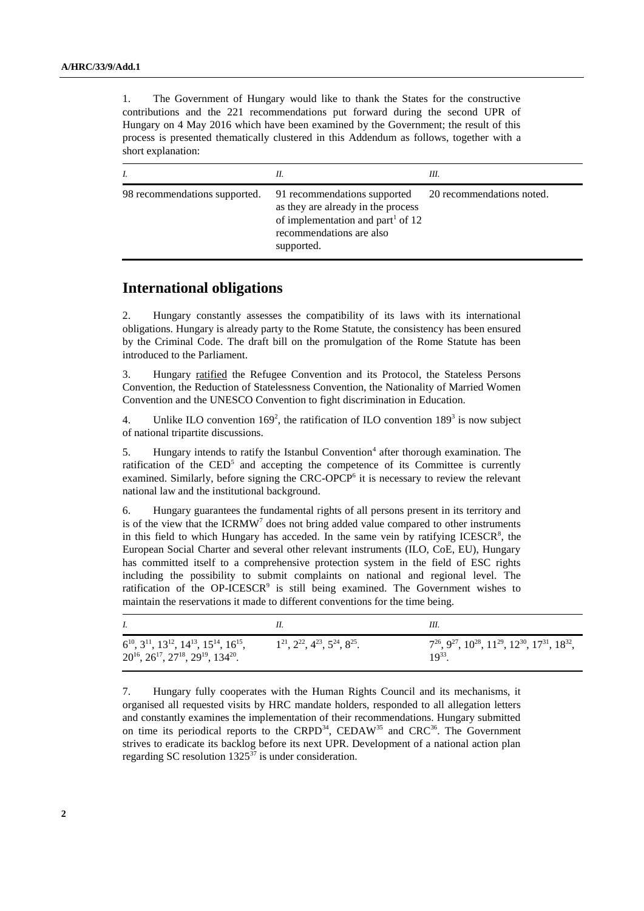1. The Government of Hungary would like to thank the States for the constructive contributions and the 221 recommendations put forward during the second UPR of Hungary on 4 May 2016 which have been examined by the Government; the result of this process is presented thematically clustered in this Addendum as follows, together with a short explanation:

|                               | Н.                                                                                                                                                            | Ш.                        |
|-------------------------------|---------------------------------------------------------------------------------------------------------------------------------------------------------------|---------------------------|
| 98 recommendations supported. | 91 recommendations supported<br>as they are already in the process<br>of implementation and part <sup>1</sup> of 12<br>recommendations are also<br>supported. | 20 recommendations noted. |

### **International obligations**

2. Hungary constantly assesses the compatibility of its laws with its international obligations. Hungary is already party to the Rome Statute, the consistency has been ensured by the Criminal Code. The draft bill on the promulgation of the Rome Statute has been introduced to the Parliament.

3. Hungary ratified the Refugee Convention and its Protocol, the Stateless Persons Convention, the Reduction of Statelessness Convention, the Nationality of Married Women Convention and the UNESCO Convention to fight discrimination in Education.

4. Unlike ILO convention  $169^2$ , the ratification of ILO convention  $189^3$  is now subject of national tripartite discussions.

5. Hungary intends to ratify the Istanbul Convention<sup>4</sup> after thorough examination. The ratification of the  $\mathrm{CED}^5$  and accepting the competence of its Committee is currently examined. Similarly, before signing the CRC-OPCP<sup>6</sup> it is necessary to review the relevant national law and the institutional background.

6. Hungary guarantees the fundamental rights of all persons present in its territory and is of the view that the  $ICRMW<sup>7</sup>$  does not bring added value compared to other instruments in this field to which Hungary has acceded. In the same vein by ratifying  $ICESCR<sup>8</sup>$ , the European Social Charter and several other relevant instruments (ILO, CoE, EU), Hungary has committed itself to a comprehensive protection system in the field of ESC rights including the possibility to submit complaints on national and regional level. The ratification of the OP-ICESCR $9$  is still being examined. The Government wishes to maintain the reservations it made to different conventions for the time being.

| $6^{10}$ , $3^{11}$ , $13^{12}$ , $14^{13}$ , $15^{14}$ , $16^{15}$ ,<br>$20^{16}$ , $26^{17}$ , $27^{18}$ , $29^{19}$ , $134^{20}$ . | $1^{21}, 2^{22}, 4^{23}, 5^{24}, 8^{25}.$ | $7^{26}$ , $9^{27}$ , $10^{28}$ , $11^{29}$ , $12^{30}$ , $17^{31}$ , $18^{32}$ ,<br>$10^{33}$ |
|---------------------------------------------------------------------------------------------------------------------------------------|-------------------------------------------|------------------------------------------------------------------------------------------------|

7. Hungary fully cooperates with the Human Rights Council and its mechanisms, it organised all requested visits by HRC mandate holders, responded to all allegation letters and constantly examines the implementation of their recommendations. Hungary submitted on time its periodical reports to the CRPD<sup>34</sup>, CEDAW<sup>35</sup> and CRC<sup>36</sup>. The Government strives to eradicate its backlog before its next UPR. Development of a national action plan regarding SC resolution  $1325^{37}$  is under consideration.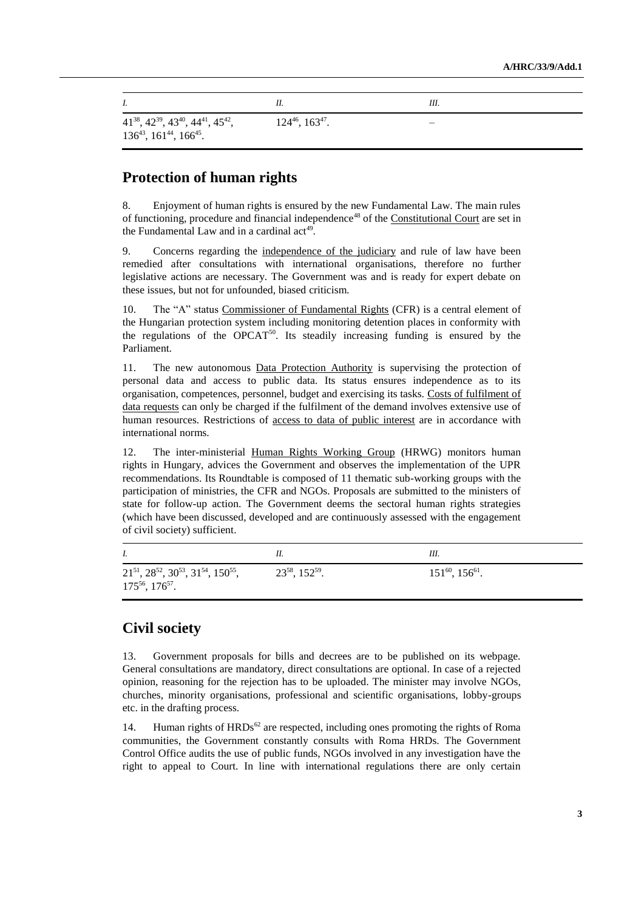|                                                                                                       |                           | III. |
|-------------------------------------------------------------------------------------------------------|---------------------------|------|
| $41^{38}$ , $42^{39}$ , $43^{40}$ , $44^{41}$ , $45^{42}$ ,<br>$136^{43}$ , $161^{44}$ , $166^{45}$ . | $124^{46}$ , $163^{47}$ . |      |

## **Protection of human rights**

8. Enjoyment of human rights is ensured by the new Fundamental Law. The main rules of functioning, procedure and financial independence<sup>48</sup> of the Constitutional Court are set in the Fundamental Law and in a cardinal act<sup>49</sup>.

9. Concerns regarding the independence of the judiciary and rule of law have been remedied after consultations with international organisations, therefore no further legislative actions are necessary. The Government was and is ready for expert debate on these issues, but not for unfounded, biased criticism.

10. The "A" status Commissioner of Fundamental Rights (CFR) is a central element of the Hungarian protection system including monitoring detention places in conformity with the regulations of the OPCAT<sup>50</sup>. Its steadily increasing funding is ensured by the Parliament.

11. The new autonomous Data Protection Authority is supervising the protection of personal data and access to public data. Its status ensures independence as to its organisation, competences, personnel, budget and exercising its tasks. Costs of fulfilment of data requests can only be charged if the fulfilment of the demand involves extensive use of human resources. Restrictions of access to data of public interest are in accordance with international norms.

12. The inter-ministerial Human Rights Working Group (HRWG) monitors human rights in Hungary, advices the Government and observes the implementation of the UPR recommendations. Its Roundtable is composed of 11 thematic sub-working groups with the participation of ministries, the CFR and NGOs. Proposals are submitted to the ministers of state for follow-up action. The Government deems the sectoral human rights strategies (which have been discussed, developed and are continuously assessed with the engagement of civil society) sufficient.

|                                                                                           |                          | Ш.                        |
|-------------------------------------------------------------------------------------------|--------------------------|---------------------------|
| $21^{51}$ , $28^{52}$ , $30^{53}$ , $31^{54}$ , $150^{55}$ ,<br>$175^{56}$ , $176^{57}$ . | $23^{58}$ , $152^{59}$ . | $151^{60}$ , $156^{61}$ . |

### **Civil society**

13. Government proposals for bills and decrees are to be published on its webpage. General consultations are mandatory, direct consultations are optional. In case of a rejected opinion, reasoning for the rejection has to be uploaded. The minister may involve NGOs, churches, minority organisations, professional and scientific organisations, lobby-groups etc. in the drafting process.

14. Human rights of  $HRDs^{62}$  are respected, including ones promoting the rights of Roma communities, the Government constantly consults with Roma HRDs. The Government Control Office audits the use of public funds, NGOs involved in any investigation have the right to appeal to Court. In line with international regulations there are only certain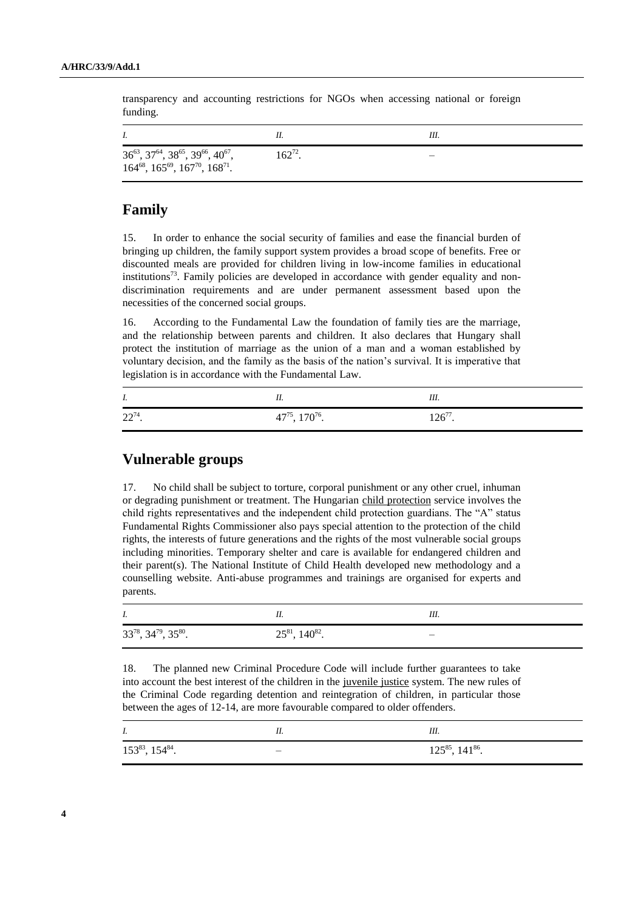transparency and accounting restrictions for NGOs when accessing national or foreign funding.

| $36^{63}, 37^{64}, 38^{65}, 39^{66}, 40^{67},$<br>$164^{68}$ , $165^{69}$ , $167^{70}$ , $168^{71}$ . | $162^{72}$ . |  |
|-------------------------------------------------------------------------------------------------------|--------------|--|

## **Family**

15. In order to enhance the social security of families and ease the financial burden of bringing up children, the family support system provides a broad scope of benefits. Free or discounted meals are provided for children living in low-income families in educational institutions<sup>73</sup>. Family policies are developed in accordance with gender equality and nondiscrimination requirements and are under permanent assessment based upon the necessities of the concerned social groups.

16. According to the Fundamental Law the foundation of family ties are the marriage, and the relationship between parents and children. It also declares that Hungary shall protect the institution of marriage as the union of a man and a woman established by voluntary decision, and the family as the basis of the nation's survival. It is imperative that legislation is in accordance with the Fundamental Law.

| I.        |                                 | Ш.           |
|-----------|---------------------------------|--------------|
| $22^{74}$ | $47^{75}$ , 170 <sup>76</sup> . | $126^{77}$ . |

## **Vulnerable groups**

17. No child shall be subject to torture, corporal punishment or any other cruel, inhuman or degrading punishment or treatment. The Hungarian child protection service involves the child rights representatives and the independent child protection guardians. The "A" status Fundamental Rights Commissioner also pays special attention to the protection of the child rights, the interests of future generations and the rights of the most vulnerable social groups including minorities. Temporary shelter and care is available for endangered children and their parent(s). The National Institute of Child Health developed new methodology and a counselling website. Anti-abuse programmes and trainings are organised for experts and parents.

| I.                                  |                          | Ш. |
|-------------------------------------|--------------------------|----|
| $33^{78}$ , $34^{79}$ , $35^{80}$ . | $25^{81}$ , $140^{82}$ . |    |

18. The planned new Criminal Procedure Code will include further guarantees to take into account the best interest of the children in the juvenile justice system. The new rules of the Criminal Code regarding detention and reintegration of children, in particular those between the ages of 12-14, are more favourable compared to older offenders.

| $I_{\cdot}$               | <br>III.                  |
|---------------------------|---------------------------|
| $153^{83}$ , $154^{84}$ . | $125^{85}$ , $141^{86}$ . |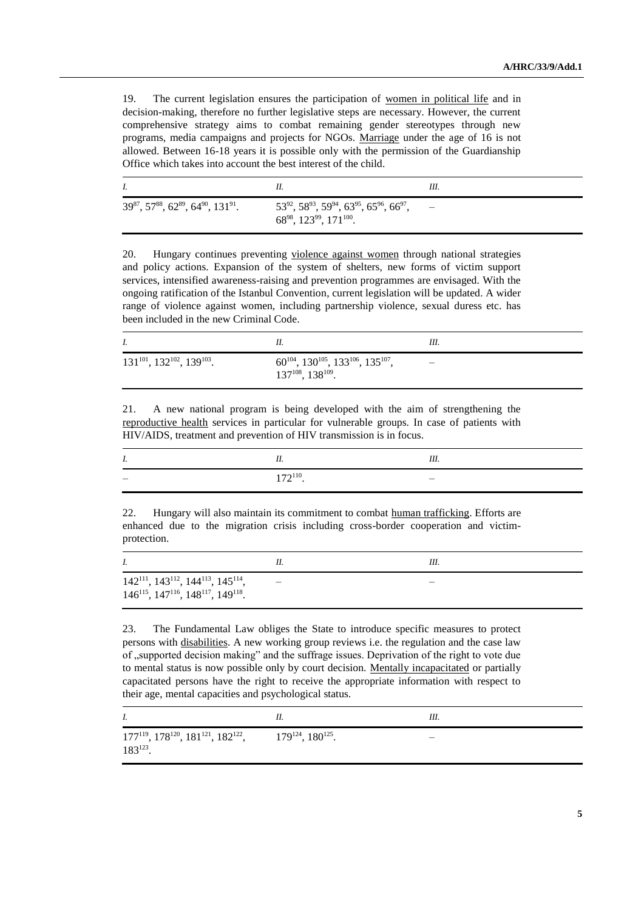19. The current legislation ensures the participation of women in political life and in decision-making, therefore no further legislative steps are necessary. However, the current comprehensive strategy aims to combat remaining gender stereotypes through new programs, media campaigns and projects for NGOs. Marriage under the age of 16 is not allowed. Between 16-18 years it is possible only with the permission of the Guardianship Office which takes into account the best interest of the child.

|                                                 |                                                                                                     | III. |
|-------------------------------------------------|-----------------------------------------------------------------------------------------------------|------|
| $39^{87}, 57^{88}, 62^{89}, 64^{90}, 131^{91}.$ | $53^{92}$ , $58^{93}$ , $59^{94}$ , $63^{95}$ , $65^{96}$ , $66^{97}$ ,<br>6898, 12399, 171 $100$ . |      |

20. Hungary continues preventing violence against women through national strategies and policy actions. Expansion of the system of shelters, new forms of victim support services, intensified awareness-raising and prevention programmes are envisaged. With the ongoing ratification of the Istanbul Convention, current legislation will be updated. A wider range of violence against women, including partnership violence, sexual duress etc. has been included in the new Criminal Code.

|                                           |                                                                                                                          | Ш. |
|-------------------------------------------|--------------------------------------------------------------------------------------------------------------------------|----|
| $131^{101}$ , $132^{102}$ , $139^{103}$ . | $60^{104}$ , 130 <sup>105</sup> , 133 <sup>106</sup> , 135 <sup>107</sup> ,<br>137 <sup>108</sup> , 138 <sup>109</sup> . |    |

21. A new national program is being developed with the aim of strengthening the reproductive health services in particular for vulnerable groups. In case of patients with HIV/AIDS, treatment and prevention of HIV transmission is in focus.

| 1. |               | Ш. |
|----|---------------|----|
|    | $172^{110}$ . |    |

22. Hungary will also maintain its commitment to combat human trafficking. Efforts are enhanced due to the migration crisis including cross-border cooperation and victimprotection.

| I.                                                                                                                 | Ш. |
|--------------------------------------------------------------------------------------------------------------------|----|
| $142^{111}$ , $143^{112}$ , $144^{113}$ , $145^{114}$ ,<br>$146^{115}$ , $147^{116}$ , $148^{117}$ , $149^{118}$ . |    |

23. The Fundamental Law obliges the State to introduce specific measures to protect persons with disabilities. A new working group reviews i.e. the regulation and the case law of ,,supported decision making" and the suffrage issues. Deprivation of the right to vote due to mental status is now possible only by court decision. Mentally incapacitated or partially capacitated persons have the right to receive the appropriate information with respect to their age, mental capacities and psychological status.

| I.                                                                       | 11.                         | Ш. |
|--------------------------------------------------------------------------|-----------------------------|----|
| $177^{119}$ , $178^{120}$ , $181^{121}$ , $182^{122}$ ,<br>$183^{123}$ . | $179^{124}$ , $180^{125}$ . | _  |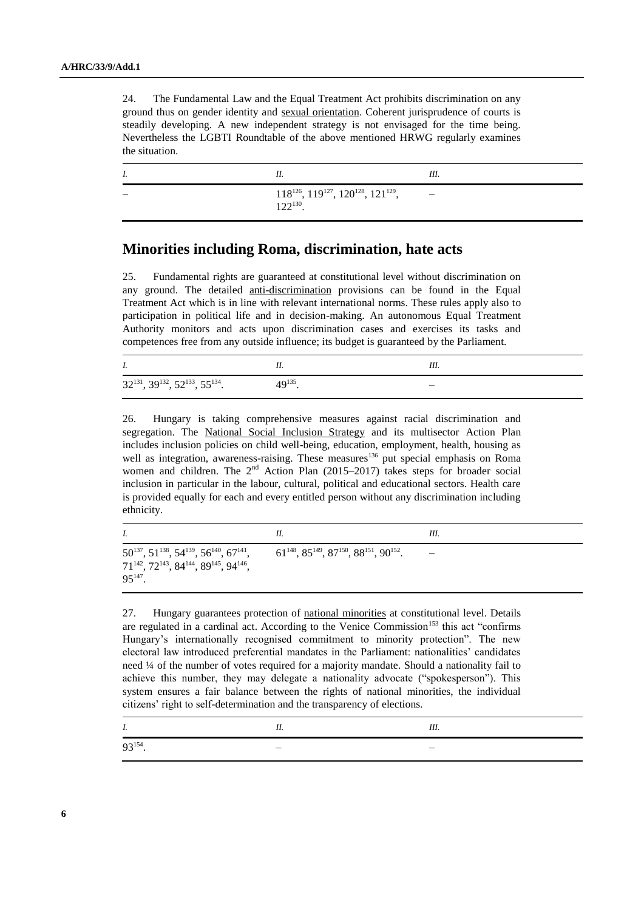24. The Fundamental Law and the Equal Treatment Act prohibits discrimination on any ground thus on gender identity and sexual orientation. Coherent jurisprudence of courts is steadily developing. A new independent strategy is not envisaged for the time being. Nevertheless the LGBTI Roundtable of the above mentioned HRWG regularly examines the situation.

| Ι. | 11.                                                                      | Ш.                           |
|----|--------------------------------------------------------------------------|------------------------------|
|    | $118^{126}$ , $119^{127}$ , $120^{128}$ , $121^{129}$ ,<br>$122^{130}$ . | $\qquad \qquad \blacksquare$ |

### **Minorities including Roma, discrimination, hate acts**

25. Fundamental rights are guaranteed at constitutional level without discrimination on any ground. The detailed *anti-discrimination* provisions can be found in the Equal Treatment Act which is in line with relevant international norms. These rules apply also to participation in political life and in decision-making. An autonomous Equal Treatment Authority monitors and acts upon discrimination cases and exercises its tasks and competences free from any outside influence; its budget is guaranteed by the Parliament.

| Ι.                                                  |              |   |
|-----------------------------------------------------|--------------|---|
| $32^{131}$ , $39^{132}$ , $52^{133}$ , $55^{134}$ . | $49^{135}$ . | _ |

26. Hungary is taking comprehensive measures against racial discrimination and segregation. The National Social Inclusion Strategy and its multisector Action Plan includes inclusion policies on child well-being, education, employment, health, housing as well as integration, awareness-raising. These measures<sup>136</sup> put special emphasis on Roma women and children. The  $2<sup>nd</sup>$  Action Plan (2015–2017) takes steps for broader social inclusion in particular in the labour, cultural, political and educational sectors. Health care is provided equally for each and every entitled person without any discrimination including ethnicity.

|                                                                                                                                                                                       | 11.                                                              | Ш. |
|---------------------------------------------------------------------------------------------------------------------------------------------------------------------------------------|------------------------------------------------------------------|----|
| $50^{137}$ , $51^{138}$ , $54^{139}$ , $56^{140}$ , $67^{141}$ ,<br>71 <sup>142</sup> , 72 <sup>143</sup> , 84 <sup>144</sup> , 89 <sup>145</sup> , 94 <sup>146</sup> ,<br>$95^{147}$ | $61^{148}$ , $85^{149}$ , $87^{150}$ , $88^{151}$ , $90^{152}$ . |    |

27. Hungary guarantees protection of national minorities at constitutional level. Details are regulated in a cardinal act. According to the Venice Commission<sup>153</sup> this act "confirms Hungary's internationally recognised commitment to minority protection". The new electoral law introduced preferential mandates in the Parliament: nationalities' candidates need ¼ of the number of votes required for a majority mandate. Should a nationality fail to achieve this number, they may delegate a nationality advocate ("spokesperson"). This system ensures a fair balance between the rights of national minorities, the individual citizens' right to self-determination and the transparency of elections.

| . .                  | $- - -$<br>111. |
|----------------------|-----------------|
| יכו רר<br>$9.5^{11}$ | _               |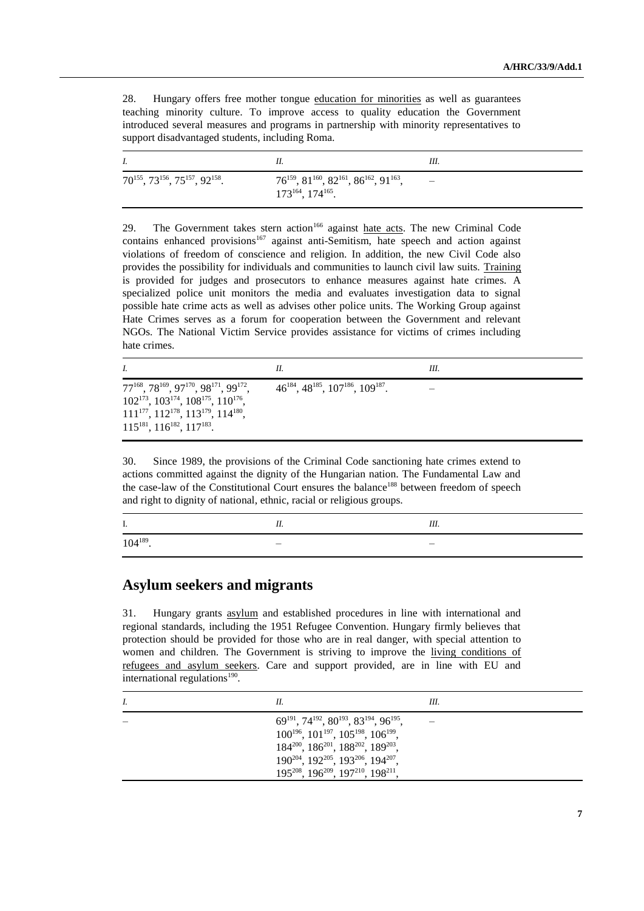28. Hungary offers free mother tongue education for minorities as well as guarantees teaching minority culture. To improve access to quality education the Government introduced several measures and programs in partnership with minority representatives to support disadvantaged students, including Roma.

|                                                     |                                                                                                 | Ш |
|-----------------------------------------------------|-------------------------------------------------------------------------------------------------|---|
| $70^{155}$ , $73^{156}$ , $75^{157}$ , $92^{158}$ . | $76^{159}$ , $81^{160}$ , $82^{161}$ , $86^{162}$ , $91^{163}$ ,<br>$173^{164}$ , $174^{165}$ . |   |

29. The Government takes stern action<sup>166</sup> against **hate acts**. The new Criminal Code contains enhanced provisions<sup>167</sup> against anti-Semitism, hate speech and action against violations of freedom of conscience and religion. In addition, the new Civil Code also provides the possibility for individuals and communities to launch civil law suits. Training is provided for judges and prosecutors to enhance measures against hate crimes. A specialized police unit monitors the media and evaluates investigation data to signal possible hate crime acts as well as advises other police units. The Working Group against Hate Crimes serves as a forum for cooperation between the Government and relevant NGOs. The National Victim Service provides assistance for victims of crimes including hate crimes.

|                                                                                                                                                                                                                                                                        | 11.                                                   | Ш. |
|------------------------------------------------------------------------------------------------------------------------------------------------------------------------------------------------------------------------------------------------------------------------|-------------------------------------------------------|----|
| 77 <sup>168</sup> , 78 <sup>169</sup> , 97 <sup>170</sup> , 98 <sup>171</sup> , 99 <sup>172</sup> ,<br>$102^{173}$ , $103^{174}$ , $108^{175}$ , $110^{176}$ ,<br>$111^{177}$ , $112^{178}$ , $113^{179}$ , $114^{180}$ ,<br>$115^{181}$ , $116^{182}$ , $117^{183}$ . | $46^{184}$ , $48^{185}$ , $107^{186}$ , $109^{187}$ . |    |

30. Since 1989, the provisions of the Criminal Code sanctioning hate crimes extend to actions committed against the dignity of the Hungarian nation. The Fundamental Law and the case-law of the Constitutional Court ensures the balance<sup>188</sup> between freedom of speech and right to dignity of national, ethnic, racial or religious groups.

|               | <br><br>Ш.<br>--- |
|---------------|-------------------|
| $104^{189}$ . |                   |

## **Asylum seekers and migrants**

31. Hungary grants asylum and established procedures in line with international and regional standards, including the 1951 Refugee Convention. Hungary firmly believes that protection should be provided for those who are in real danger, with special attention to women and children. The Government is striving to improve the living conditions of refugees and asylum seekers. Care and support provided, are in line with EU and international regulations $190$ .

| I. | Н.                                                                                                                                                                                                                                                                                                                                     | Ш. |
|----|----------------------------------------------------------------------------------------------------------------------------------------------------------------------------------------------------------------------------------------------------------------------------------------------------------------------------------------|----|
|    | $69^{191}$ , $74^{192}$ , $80^{193}$ , $83^{194}$ , $96^{195}$<br>$100^{196}$ , $101^{197}$ , $105^{198}$ , $106^{199}$ ,<br>$184^{200}$ , $186^{201}$ , $188^{202}$ , $189^{203}$ ,<br>190 <sup>204</sup> , 192 <sup>205</sup> , 193 <sup>206</sup> , 194 <sup>207</sup> ,<br>$195^{208}$ , $196^{209}$ , $197^{210}$ , $198^{211}$ , |    |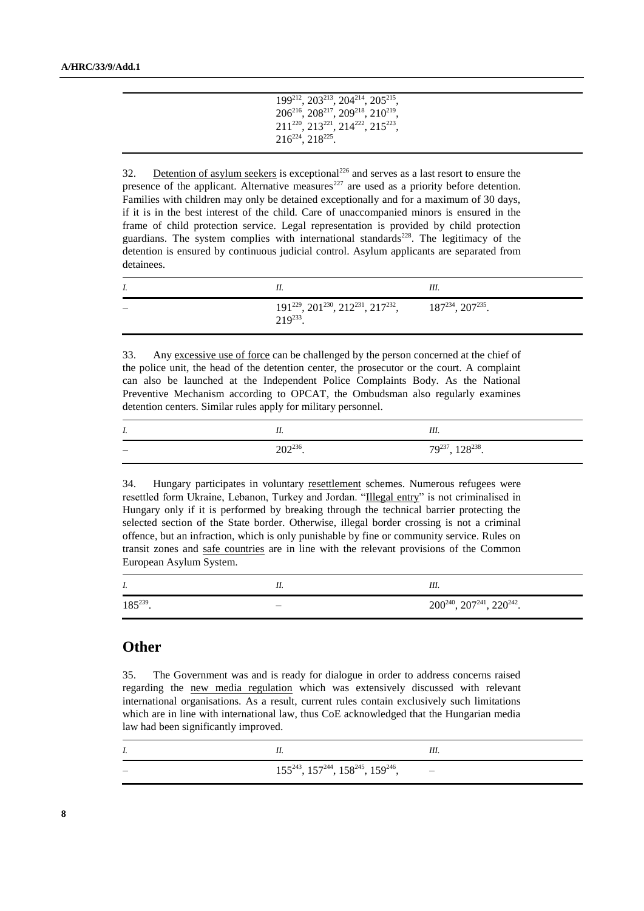| 199212, 203213, 204214, 205215.                                                     |  |
|-------------------------------------------------------------------------------------|--|
| 206 <sup>216</sup> , 208 <sup>217</sup> , 209 <sup>218</sup> , 210 <sup>219</sup> , |  |
| 211 <sup>220</sup> , 213 <sup>221</sup> , 214 <sup>222</sup> , 215 <sup>223</sup> , |  |
| 216 <sup>224</sup> , 218 <sup>225</sup> .                                           |  |

32. Detention of asylum seekers is exceptional<sup>226</sup> and serves as a last resort to ensure the presence of the applicant. Alternative measures<sup>227</sup> are used as a priority before detention. Families with children may only be detained exceptionally and for a maximum of 30 days, if it is in the best interest of the child. Care of unaccompanied minors is ensured in the frame of child protection service. Legal representation is provided by child protection guardians. The system complies with international standards<sup>228</sup>. The legitimacy of the detention is ensured by continuous judicial control. Asylum applicants are separated from detainees.

|                                                                                                      | Ш. |
|------------------------------------------------------------------------------------------------------|----|
| $191^{229}$ , $201^{230}$ , $212^{231}$ , $217^{232}$ , $187^{234}$ , $207^{235}$ .<br>$219^{233}$ . |    |

33. Any excessive use of force can be challenged by the person concerned at the chief of the police unit, the head of the detention center, the prosecutor or the court. A complaint can also be launched at the Independent Police Complaints Body. As the National Preventive Mechanism according to OPCAT, the Ombudsman also regularly examines detention centers. Similar rules apply for military personnel.

| I. |               | Ш.                         |
|----|---------------|----------------------------|
|    | $202^{236}$ . | $79^{237}$ , $128^{238}$ . |

34. Hungary participates in voluntary resettlement schemes. Numerous refugees were resettled form Ukraine, Lebanon, Turkey and Jordan. "Illegal entry" is not criminalised in Hungary only if it is performed by breaking through the technical barrier protecting the selected section of the State border. Otherwise, illegal border crossing is not a criminal offence, but an infraction, which is only punishable by fine or community service. Rules on transit zones and safe countries are in line with the relevant provisions of the Common European Asylum System.

| 1.            | <br>Ш.                                    |
|---------------|-------------------------------------------|
| $185^{239}$ . | $200^{240}$ , $207^{241}$ , $220^{242}$ . |

#### **Other**

35. The Government was and is ready for dialogue in order to address concerns raised regarding the new media regulation which was extensively discussed with relevant international organisations. As a result, current rules contain exclusively such limitations which are in line with international law, thus CoE acknowledged that the Hungarian media law had been significantly improved.

| $155^{243}$ , $157^{244}$ , $158^{245}$ , $159^{246}$ , $-$ |  |
|-------------------------------------------------------------|--|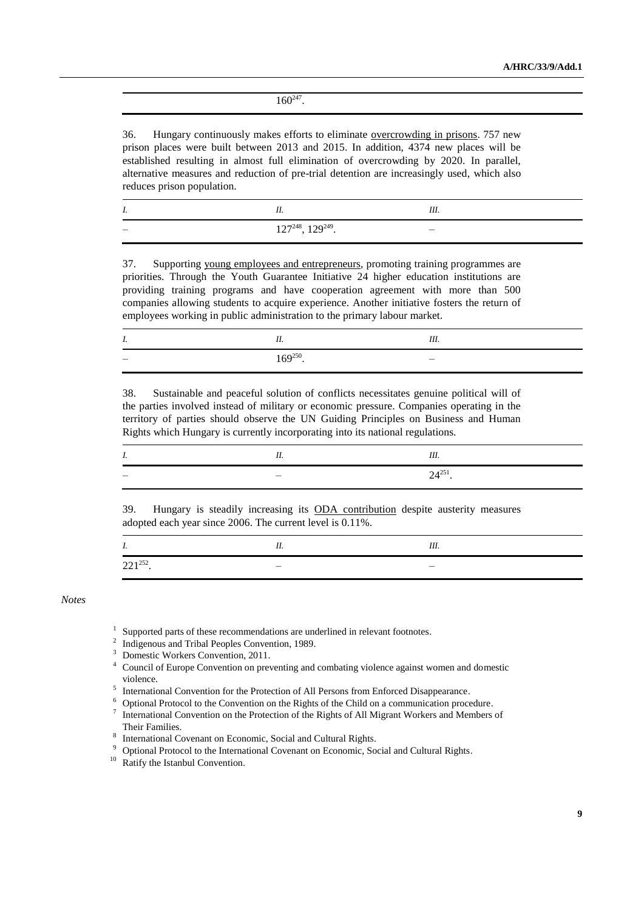$160^{247}$ .

36. Hungary continuously makes efforts to eliminate overcrowding in prisons. 757 new prison places were built between 2013 and 2015. In addition, 4374 new places will be established resulting in almost full elimination of overcrowding by 2020. In parallel, alternative measures and reduction of pre-trial detention are increasingly used, which also reduces prison population.

| Ι. |                             | Ш. |
|----|-----------------------------|----|
| __ | $127^{248}$ , $129^{249}$ . |    |

37. Supporting young employees and entrepreneurs, promoting training programmes are priorities. Through the Youth Guarantee Initiative 24 higher education institutions are providing training programs and have cooperation agreement with more than 500 companies allowing students to acquire experience. Another initiative fosters the return of employees working in public administration to the primary labour market.

| . . |                    | Ш |
|-----|--------------------|---|
|     | $.60^{250}$<br>109 | _ |

38. Sustainable and peaceful solution of conflicts necessitates genuine political will of the parties involved instead of military or economic pressure. Companies operating in the territory of parties should observe the UN Guiding Principles on Business and Human Rights which Hungary is currently incorporating into its national regulations.

| . . | --- |
|-----|-----|
|     | ▱   |

39. Hungary is steadily increasing its ODA contribution despite austerity measures adopted each year since 2006. The current level is 0.11%.

| . .           | 11. | III. |
|---------------|-----|------|
| $221^{252}$ . |     |      |

*Notes*

- 1 Supported parts of these recommendations are underlined in relevant footnotes.
- <sup>2</sup> Indigenous and Tribal Peoples Convention, 1989.
- <sup>3</sup> Domestic Workers Convention, 2011.
- <sup>4</sup> [Council of Europe Convention on preventing and combating violence against women and domestic](http://rm.coe.int/CoERMPublicCommonSearchServices/DisplayDCTMContent?documentId=090000168046031c)  [violence.](http://rm.coe.int/CoERMPublicCommonSearchServices/DisplayDCTMContent?documentId=090000168046031c)
- <sup>5</sup> International Convention for the Protection of All Persons from Enforced Disappearance.
- $6$  Optional Protocol to the Convention on the Rights of the Child on a communication procedure.
- $\frac{7}{1}$  International Convention on the Protection of the Rights of All Migrant Workers and Members of Their Families.
- 8 International Covenant on Economic, Social and Cultural Rights.
- <sup>9</sup> Optional Protocol to the International Covenant on Economic, Social and Cultural Rights.
- <sup>10</sup> Ratify the Istanbul Convention.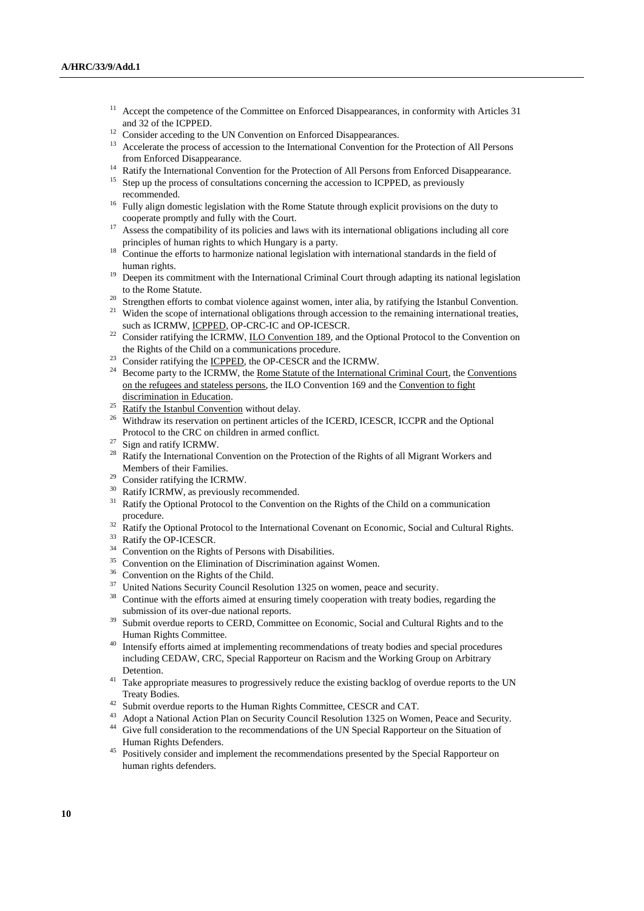- Accept the competence of the Committee on Enforced Disappearances, in conformity with Articles 31 and 32 of the ICPPED.
- <sup>12</sup> Consider acceding to the UN Convention on Enforced Disappearances.
- <sup>13</sup> Accelerate the process of accession to the International Convention for the Protection of All Persons from Enforced Disappearance.
- <sup>14</sup> Ratify the International Convention for the Protection of All Persons from Enforced Disappearance.
- <sup>15</sup> Step up the process of consultations concerning the accession to ICPPED, as previously recommended.
- <sup>16</sup> Fully align domestic legislation with the Rome Statute through explicit provisions on the duty to cooperate promptly and fully with the Court.
- <sup>17</sup> Assess the compatibility of its policies and laws with its international obligations including all core principles of human rights to which Hungary is a party.
- <sup>18</sup> Continue the efforts to harmonize national legislation with international standards in the field of human rights.
- <sup>19</sup> Deepen its commitment with the International Criminal Court through adapting its national legislation to the Rome Statute.
- <sup>20</sup> Strengthen efforts to combat violence against women, inter alia, by ratifying the Istanbul Convention.
- <sup>21</sup> Widen the scope of international obligations through accession to the remaining international treaties, such as ICRMW, ICPPED, OP-CRC-IC and OP-ICESCR.
- <sup>22</sup> Consider ratifying the ICRMW, <u>ILO Convention 189</u>, and the Optional Protocol to the Convention on the Rights of the Child on a communications procedure.
- <sup>23</sup> Consider ratifying the <u>ICPPED</u>, the OP-CESCR and the ICRMW.
- <sup>24</sup> Become party to the ICRMW, the <u>Rome Statute of the International Criminal Court</u>, the Conventions on the refugees and stateless persons, the ILO Convention 169 and the Convention to fight discrimination in Education.
- <sup>25</sup> Ratify the Istanbul Convention without delay.<br><sup>26</sup> With draw its recentation on pertinent orticles
- <sup>26</sup> Withdraw its reservation on pertinent articles of the ICERD, ICESCR, ICCPR and the Optional Protocol to the CRC on children in armed conflict.
- $^{27}$  Sign and ratify ICRMW.
- Ratify the International Convention on the Protection of the Rights of all Migrant Workers and Members of their Families.
- <sup>29</sup> Consider ratifying the ICRMW.
- <sup>30</sup> Ratify ICRMW, as previously recommended.
- <sup>31</sup> Ratify the Optional Protocol to the Convention on the Rights of the Child on a communication procedure.
- <sup>32</sup> Ratify the Optional Protocol to the International Covenant on Economic, Social and Cultural Rights. <sup>33</sup> Ratify the OP-ICESCR.
- <sup>34</sup> Convention on the Rights of Persons with Disabilities.
- <sup>35</sup> Convention on the Elimination of Discrimination against Women.
- <sup>36</sup> Convention on the Rights of the Child.
- <sup>37</sup> United Nations Security Council Resolution 1325 on women, peace and security.
- Continue with the efforts aimed at ensuring timely cooperation with treaty bodies, regarding the submission of its over-due national reports.
- <sup>39</sup> Submit overdue reports to CERD, Committee on Economic, Social and Cultural Rights and to the Human Rights Committee.
- <sup>40</sup> Intensify efforts aimed at implementing recommendations of treaty bodies and special procedures including CEDAW, CRC, Special Rapporteur on Racism and the Working Group on Arbitrary Detention.
- <sup>41</sup> Take appropriate measures to progressively reduce the existing backlog of overdue reports to the UN Treaty Bodies.
- <sup>42</sup> Submit overdue reports to the Human Rights Committee, CESCR and CAT.
- <sup>43</sup> Adopt a National Action Plan on Security Council Resolution 1325 on Women, Peace and Security. <sup>44</sup> Give full consideration to the recommendations of the UN Special Rapporteur on the Situation of Human Rights Defenders.
- <sup>45</sup> Positively consider and implement the recommendations presented by the Special Rapporteur on human rights defenders.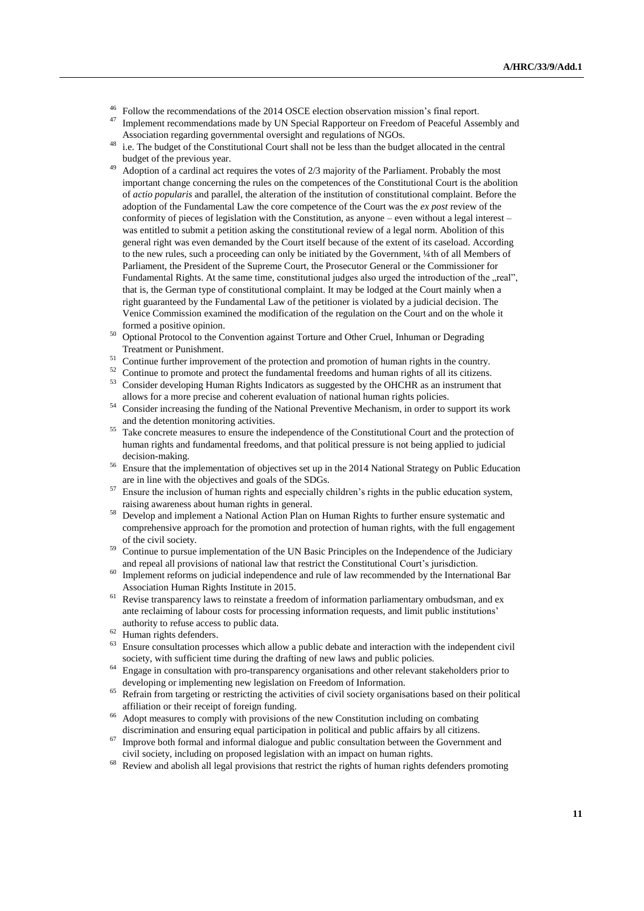- <sup>46</sup> Follow the recommendations of the 2014 OSCE election observation mission's final report.
- Implement recommendations made by UN Special Rapporteur on Freedom of Peaceful Assembly and Association regarding governmental oversight and regulations of NGOs.
- <sup>48</sup> i.e. The budget of the Constitutional Court shall not be less than the budget allocated in the central budget of the previous year.
- Adoption of a cardinal act requires the votes of 2/3 majority of the Parliament. Probably the most important change concerning the rules on the competences of the Constitutional Court is the abolition of *actio popularis* and parallel, the alteration of the institution of constitutional complaint. Before the adoption of the Fundamental Law the core competence of the Court was the *ex post* review of the conformity of pieces of legislation with the Constitution, as anyone – even without a legal interest – was entitled to submit a petition asking the constitutional review of a legal norm. Abolition of this general right was even demanded by the Court itself because of the extent of its caseload. According to the new rules, such a proceeding can only be initiated by the Government, ¼th of all Members of Parliament, the President of the Supreme Court, the Prosecutor General or the Commissioner for Fundamental Rights. At the same time, constitutional judges also urged the introduction of the "real", that is, the German type of constitutional complaint. It may be lodged at the Court mainly when a right guaranteed by the Fundamental Law of the petitioner is violated by a judicial decision. The Venice Commission examined the modification of the regulation on the Court and on the whole it formed a positive opinion.
- <sup>50</sup> Optional Protocol to the Convention against Torture and Other Cruel, Inhuman or Degrading Treatment or Punishment.
- <sup>51</sup> Continue further improvement of the protection and promotion of human rights in the country.
- <sup>52</sup> Continue to promote and protect the fundamental freedoms and human rights of all its citizens. <sup>53</sup> Consider developing Human Rights Indicators as suggested by the OHCHR as an instrument that
	- allows for a more precise and coherent evaluation of national human rights policies.
- <sup>54</sup> Consider increasing the funding of the National Preventive Mechanism, in order to support its work and the detention monitoring activities.
- <sup>55</sup> Take concrete measures to ensure the independence of the Constitutional Court and the protection of human rights and fundamental freedoms, and that political pressure is not being applied to judicial decision-making.
- <sup>56</sup> Ensure that the implementation of objectives set up in the 2014 National Strategy on Public Education are in line with the objectives and goals of the SDGs.
- <sup>57</sup> Ensure the inclusion of human rights and especially children's rights in the public education system, raising awareness about human rights in general.
- <sup>58</sup> Develop and implement a National Action Plan on Human Rights to further ensure systematic and comprehensive approach for the promotion and protection of human rights, with the full engagement of the civil society.
- <sup>59</sup> Continue to pursue implementation of the UN Basic Principles on the Independence of the Judiciary and repeal all provisions of national law that restrict the Constitutional Court's jurisdiction.
- $\frac{60}{100}$  Implement reforms on judicial independence and rule of law recommended by the International Bar Association Human Rights Institute in 2015.
- $61$  Revise transparency laws to reinstate a freedom of information parliamentary ombudsman, and ex ante reclaiming of labour costs for processing information requests, and limit public institutions' authority to refuse access to public data.
- $^{62}$  Human rights defenders.
- <sup>63</sup> Ensure consultation processes which allow a public debate and interaction with the independent civil society, with sufficient time during the drafting of new laws and public policies.
- <sup>64</sup> Engage in consultation with pro-transparency organisations and other relevant stakeholders prior to developing or implementing new legislation on Freedom of Information.
- <sup>65</sup> Refrain from targeting or restricting the activities of civil society organisations based on their political affiliation or their receipt of foreign funding.
- <sup>66</sup> Adopt measures to comply with provisions of the new Constitution including on combating discrimination and ensuring equal participation in political and public affairs by all citizens.
- $\frac{67}{100}$  Improve both formal and informal dialogue and public consultation between the Government and civil society, including on proposed legislation with an impact on human rights.
- <sup>68</sup> Review and abolish all legal provisions that restrict the rights of human rights defenders promoting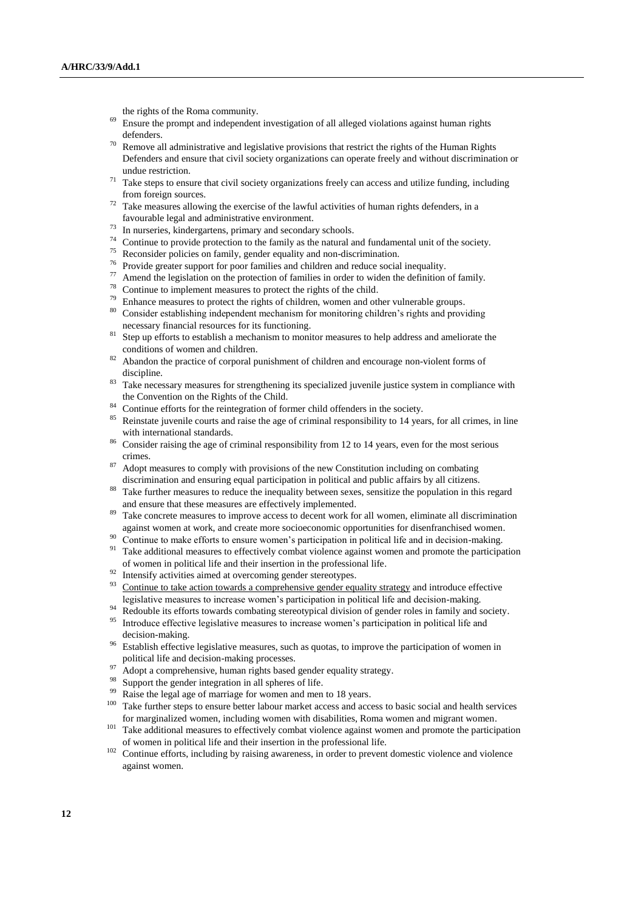the rights of the Roma community.

- <sup>69</sup> Ensure the prompt and independent investigation of all alleged violations against human rights defenders.
- $70$  Remove all administrative and legislative provisions that restrict the rights of the Human Rights Defenders and ensure that civil society organizations can operate freely and without discrimination or undue restriction.
- $71$  Take steps to ensure that civil society organizations freely can access and utilize funding, including from foreign sources.
- $72$  Take measures allowing the exercise of the lawful activities of human rights defenders, in a favourable legal and administrative environment.
- <sup>73</sup> In nurseries, kindergartens, primary and secondary schools.
- $74$  Continue to provide protection to the family as the natural and fundamental unit of the society.
- <sup>75</sup> Reconsider policies on family, gender equality and non-discrimination.
- <sup>76</sup> Provide greater support for poor families and children and reduce social inequality.
- <sup>77</sup> Amend the legislation on the protection of families in order to widen the definition of family.
- <sup>78</sup> Continue to implement measures to protect the rights of the child.
- <sup>79</sup> Enhance measures to protect the rights of children, women and other vulnerable groups.
- Consider establishing independent mechanism for monitoring children's rights and providing necessary financial resources for its functioning.
- <sup>81</sup> Step up efforts to establish a mechanism to monitor measures to help address and ameliorate the conditions of women and children.
- $82$  Abandon the practice of corporal punishment of children and encourage non-violent forms of discipline.
- <sup>83</sup> Take necessary measures for strengthening its specialized juvenile justice system in compliance with the Convention on the Rights of the Child.
- <sup>84</sup> Continue efforts for the reintegration of former child offenders in the society.<br><sup>85</sup> Poinstate invariable source and raise the social of original recognositility to 14 years.
- Reinstate juvenile courts and raise the age of criminal responsibility to 14 years, for all crimes, in line with international standards.
- <sup>86</sup> Consider raising the age of criminal responsibility from 12 to 14 years, even for the most serious crimes.
- <sup>87</sup> Adopt measures to comply with provisions of the new Constitution including on combating discrimination and ensuring equal participation in political and public affairs by all citizens.
- Take further measures to reduce the inequality between sexes, sensitize the population in this regard and ensure that these measures are effectively implemented.
- Take concrete measures to improve access to decent work for all women, eliminate all discrimination against women at work, and create more socioeconomic opportunities for disenfranchised women.
- $\frac{90}{20}$  Continue to make efforts to ensure women's participation in political life and in decision-making.
- <sup>91</sup> Take additional measures to effectively combat violence against women and promote the participation of women in political life and their insertion in the professional life.
- <sup>92</sup> Intensify activities aimed at overcoming gender stereotypes.<br><sup>93</sup> Continue to take action tenunder a semandanting south a sem
- Continue to take action towards a comprehensive gender equality strategy and introduce effective legislative measures to increase women's participation in political life and decision-making.
- <sup>94</sup> Redouble its efforts towards combating stereotypical division of gender roles in family and society.<br><sup>95</sup> Introduce of feative logiclative measures to increase women's neutrinotion in political life and
- Introduce effective legislative measures to increase women's participation in political life and decision-making.
- <sup>96</sup> Establish effective legislative measures, such as quotas, to improve the participation of women in political life and decision-making processes.
- <sup>97</sup> Adopt a comprehensive, human rights based gender equality strategy.<br><sup>98</sup> Support the conder integration in all spheres of life.
- Support the gender integration in all spheres of life.
- Raise the legal age of marriage for women and men to 18 years.
- <sup>100</sup> Take further steps to ensure better labour market access and access to basic social and health services for marginalized women, including women with disabilities, Roma women and migrant women.
- <sup>101</sup> Take additional measures to effectively combat violence against women and promote the participation of women in political life and their insertion in the professional life.
- <sup>102</sup> Continue efforts, including by raising awareness, in order to prevent domestic violence and violence against women.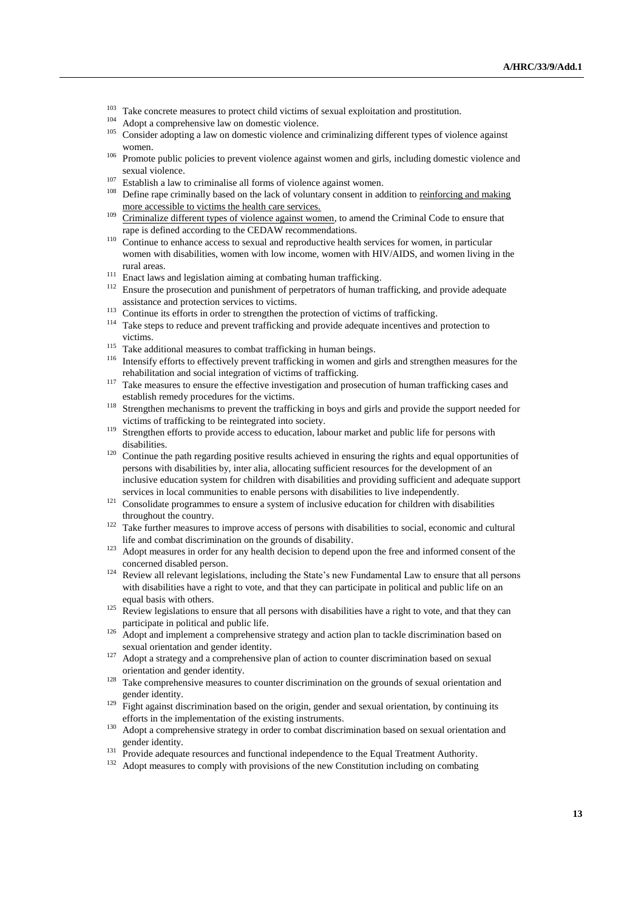- <sup>103</sup> Take concrete measures to protect child victims of sexual exploitation and prostitution.
- Adopt a comprehensive law on domestic violence.
- <sup>105</sup> Consider adopting a law on domestic violence and criminalizing different types of violence against women.
- <sup>106</sup> Promote public policies to prevent violence against women and girls, including domestic violence and sexual violence.
- <sup>107</sup> Establish a law to criminalise all forms of violence against women.<br><sup>108</sup> Define age aginizable hand an the lack of valuation concert in ad
- <sup>108</sup> Define rape criminally based on the lack of voluntary consent in addition to reinforcing and making more accessible to victims the health care services.
- <sup>109</sup> Criminalize different types of violence against women, to amend the Criminal Code to ensure that rape is defined according to the CEDAW recommendations.
- <sup>110</sup> Continue to enhance access to sexual and reproductive health services for women, in particular women with disabilities, women with low income, women with HIV/AIDS, and women living in the rural areas.
- $^{111}\,$  Enact laws and legislation aiming at combating human trafficking.
- <sup>112</sup> Ensure the prosecution and punishment of perpetrators of human trafficking, and provide adequate assistance and protection services to victims.
- <sup>113</sup> Continue its efforts in order to strengthen the protection of victims of trafficking.
- <sup>114</sup> Take steps to reduce and prevent trafficking and provide adequate incentives and protection to victims.
- <sup>115</sup> Take additional measures to combat trafficking in human beings.
- <sup>116</sup> Intensify efforts to effectively prevent trafficking in women and girls and strengthen measures for the rehabilitation and social integration of victims of trafficking.
- <sup>117</sup> Take measures to ensure the effective investigation and prosecution of human trafficking cases and establish remedy procedures for the victims.
- <sup>118</sup> Strengthen mechanisms to prevent the trafficking in boys and girls and provide the support needed for victims of trafficking to be reintegrated into society.
- <sup>119</sup> Strengthen efforts to provide access to education, labour market and public life for persons with disabilities.
- <sup>120</sup> Continue the path regarding positive results achieved in ensuring the rights and equal opportunities of persons with disabilities by, inter alia, allocating sufficient resources for the development of an inclusive education system for children with disabilities and providing sufficient and adequate support services in local communities to enable persons with disabilities to live independently.
- <sup>121</sup> Consolidate programmes to ensure a system of inclusive education for children with disabilities throughout the country.
- <sup>122</sup> Take further measures to improve access of persons with disabilities to social, economic and cultural life and combat discrimination on the grounds of disability.
- <sup>123</sup> Adopt measures in order for any health decision to depend upon the free and informed consent of the concerned disabled person.
- <sup>124</sup> Review all relevant legislations, including the State's new Fundamental Law to ensure that all persons with disabilities have a right to vote, and that they can participate in political and public life on an equal basis with others.
- <sup>125</sup> Review legislations to ensure that all persons with disabilities have a right to vote, and that they can participate in political and public life.
- <sup>126</sup> Adopt and implement a comprehensive strategy and action plan to tackle discrimination based on sexual orientation and gender identity.
- $127$  Adopt a strategy and a comprehensive plan of action to counter discrimination based on sexual orientation and gender identity.
- <sup>128</sup> Take comprehensive measures to counter discrimination on the grounds of sexual orientation and gender identity.
- $129$  Fight against discrimination based on the origin, gender and sexual orientation, by continuing its efforts in the implementation of the existing instruments.
- <sup>130</sup> Adopt a comprehensive strategy in order to combat discrimination based on sexual orientation and gender identity.
- <sup>131</sup> Provide adequate resources and functional independence to the Equal Treatment Authority.
- <sup>132</sup> Adopt measures to comply with provisions of the new Constitution including on combating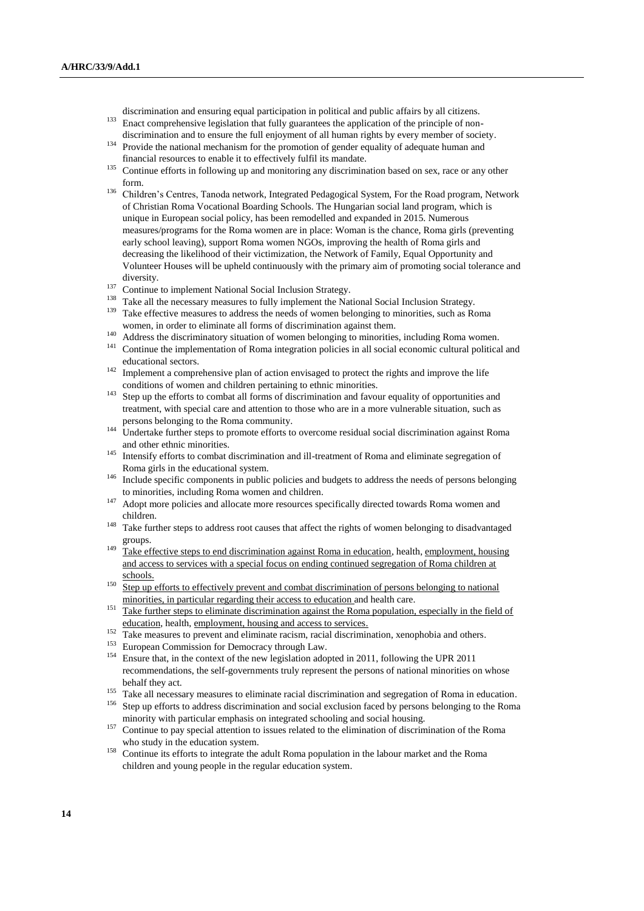discrimination and ensuring equal participation in political and public affairs by all citizens.

- <sup>133</sup> Enact comprehensive legislation that fully guarantees the application of the principle of nondiscrimination and to ensure the full enjoyment of all human rights by every member of society.
- <sup>134</sup> Provide the national mechanism for the promotion of gender equality of adequate human and financial resources to enable it to effectively fulfil its mandate.
- <sup>135</sup> Continue efforts in following up and monitoring any discrimination based on sex, race or any other form.
- <sup>136</sup> Children's Centres, Tanoda network, Integrated Pedagogical System, For the Road program, Network of Christian Roma Vocational Boarding Schools. The Hungarian social land program, which is unique in European social policy, has been remodelled and expanded in 2015. Numerous measures/programs for the Roma women are in place: Woman is the chance, Roma girls (preventing early school leaving), support Roma women NGOs, improving the health of Roma girls and decreasing the likelihood of their victimization, the Network of Family, Equal Opportunity and Volunteer Houses will be upheld continuously with the primary aim of promoting social tolerance and diversity.
- <sup>137</sup> Continue to implement National Social Inclusion Strategy.
- <sup>138</sup> Take all the necessary measures to fully implement the National Social Inclusion Strategy.
- <sup>139</sup> Take effective measures to address the needs of women belonging to minorities, such as Roma women, in order to eliminate all forms of discrimination against them.
- <sup>140</sup> Address the discriminatory situation of women belonging to minorities, including Roma women.
- <sup>141</sup> Continue the implementation of Roma integration policies in all social economic cultural political and educational sectors.
- <sup>142</sup> Implement a comprehensive plan of action envisaged to protect the rights and improve the life conditions of women and children pertaining to ethnic minorities.
- <sup>143</sup> Step up the efforts to combat all forms of discrimination and favour equality of opportunities and treatment, with special care and attention to those who are in a more vulnerable situation, such as persons belonging to the Roma community.
- <sup>144</sup> Undertake further steps to promote efforts to overcome residual social discrimination against Roma and other ethnic minorities.
- <sup>145</sup> Intensify efforts to combat discrimination and ill-treatment of Roma and eliminate segregation of Roma girls in the educational system.
- <sup>146</sup> Include specific components in public policies and budgets to address the needs of persons belonging to minorities, including Roma women and children.
- <sup>147</sup> Adopt more policies and allocate more resources specifically directed towards Roma women and children.
- <sup>148</sup> Take further steps to address root causes that affect the rights of women belonging to disadvantaged groups.
- <sup>149</sup> Take effective steps to end discrimination against Roma in education, health, employment, housing and access to services with a special focus on ending continued segregation of Roma children at schools.
- <sup>150</sup> Step up efforts to effectively prevent and combat discrimination of persons belonging to national minorities, in particular regarding their access to education and health care.
- 151 Take further steps to eliminate discrimination against the Roma population, especially in the field of education, health, employment, housing and access to services.
- <sup>152</sup> Take measures to prevent and eliminate racism, racial discrimination, xenophobia and others.
- <sup>153</sup> European Commission for Democracy through Law.<br><sup>154</sup> Ensure that in the context of the new legislation adopt
- Ensure that, in the context of the new legislation adopted in 2011, following the UPR 2011 recommendations, the self-governments truly represent the persons of national minorities on whose behalf they act.
- <sup>155</sup> Take all necessary measures to eliminate racial discrimination and segregation of Roma in education.
- <sup>156</sup> Step up efforts to address discrimination and social exclusion faced by persons belonging to the Roma minority with particular emphasis on integrated schooling and social housing.
- <sup>157</sup> Continue to pay special attention to issues related to the elimination of discrimination of the Roma who study in the education system.
- <sup>158</sup> Continue its efforts to integrate the adult Roma population in the labour market and the Roma children and young people in the regular education system.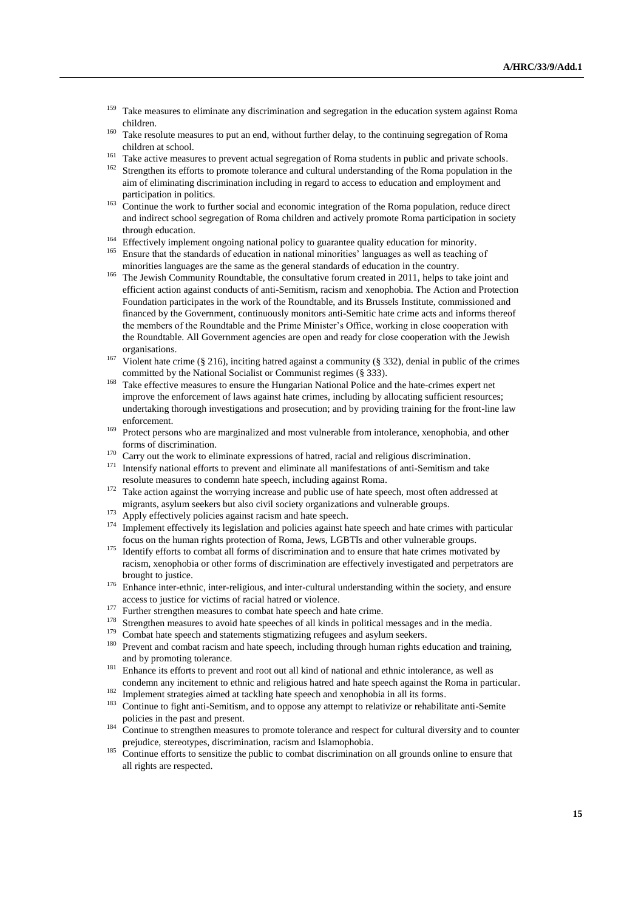- <sup>159</sup> Take measures to eliminate any discrimination and segregation in the education system against Roma children.
- <sup>160</sup> Take resolute measures to put an end, without further delay, to the continuing segregation of Roma children at school.
- <sup>161</sup> Take active measures to prevent actual segregation of Roma students in public and private schools.<br><sup>162</sup> Strengthen its effects to premate telegrace and sultural understanding of the Borge population in the
- Strengthen its efforts to promote tolerance and cultural understanding of the Roma population in the aim of eliminating discrimination including in regard to access to education and employment and participation in politics.
- <sup>163</sup> Continue the work to further social and economic integration of the Roma population, reduce direct and indirect school segregation of Roma children and actively promote Roma participation in society through education.
- <sup>164</sup> Effectively implement ongoing national policy to guarantee quality education for minority.
- <sup>165</sup> Ensure that the standards of education in national minorities' languages as well as teaching of minorities languages are the same as the general standards of education in the country.
- <sup>166</sup> The Jewish Community Roundtable, the consultative forum created in 2011, helps to take joint and efficient action against conducts of anti-Semitism, racism and xenophobia. The Action and Protection Foundation participates in the work of the Roundtable, and its Brussels Institute, commissioned and financed by the Government, continuously monitors anti-Semitic hate crime acts and informs thereof the members of the Roundtable and the Prime Minister's Office, working in close cooperation with the Roundtable. All Government agencies are open and ready for close cooperation with the Jewish organisations.
- <sup>167</sup> Violent hate crime (§ 216), inciting hatred against a community (§ 332), denial in public of the crimes committed by the National Socialist or Communist regimes (§ 333).
- <sup>168</sup> Take effective measures to ensure the Hungarian National Police and the hate-crimes expert net improve the enforcement of laws against hate crimes, including by allocating sufficient resources; undertaking thorough investigations and prosecution; and by providing training for the front-line law enforcement.
- <sup>169</sup> Protect persons who are marginalized and most vulnerable from intolerance, xenophobia, and other forms of discrimination.
- $170$  Carry out the work to eliminate expressions of hatred, racial and religious discrimination.
- <sup>171</sup> Intensify national efforts to prevent and eliminate all manifestations of anti-Semitism and take resolute measures to condemn hate speech, including against Roma.
- <sup>172</sup> Take action against the worrying increase and public use of hate speech, most often addressed at migrants, asylum seekers but also civil society organizations and vulnerable groups.
- <sup>173</sup> Apply effectively policies against racism and hate speech.
- <sup>174</sup> Implement effectively its legislation and policies against hate speech and hate crimes with particular focus on the human rights protection of Roma, Jews, LGBTIs and other vulnerable groups.
- <sup>175</sup> Identify efforts to combat all forms of discrimination and to ensure that hate crimes motivated by racism, xenophobia or other forms of discrimination are effectively investigated and perpetrators are brought to justice.
- <sup>176</sup> Enhance inter-ethnic, inter-religious, and inter-cultural understanding within the society, and ensure access to justice for victims of racial hatred or violence.
- <sup>177</sup> Further strengthen measures to combat hate speech and hate crime.<br><sup>178</sup> Strengthen measures to quoid hate speeches of all kinds in political
- <sup>178</sup> Strengthen measures to avoid hate speeches of all kinds in political messages and in the media.<br><sup>179</sup> Combat hate groeph and atatematic stigmaticipe refugees and evilym seekage.
- <sup>179</sup> Combat hate speech and statements stigmatizing refugees and asylum seekers.<br><sup>180</sup> Prevent and asymbot regions and hate graceh including through hymnor rights a
- Prevent and combat racism and hate speech, including through human rights education and training, and by promoting tolerance.
- <sup>181</sup> Enhance its efforts to prevent and root out all kind of national and ethnic intolerance, as well as condemn any incitement to ethnic and religious hatred and hate speech against the Roma in particular.
- <sup>182</sup> Implement strategies aimed at tackling hate speech and xenophobia in all its forms.<br><sup>183</sup> Cantinus to fight anti-Samitian, and to appear any otherwith a platities appelability
- <sup>183</sup> Continue to fight anti-Semitism, and to oppose any attempt to relativize or rehabilitate anti-Semite policies in the past and present.
- <sup>184</sup> Continue to strengthen measures to promote tolerance and respect for cultural diversity and to counter prejudice, stereotypes, discrimination, racism and Islamophobia.
- Continue efforts to sensitize the public to combat discrimination on all grounds online to ensure that all rights are respected.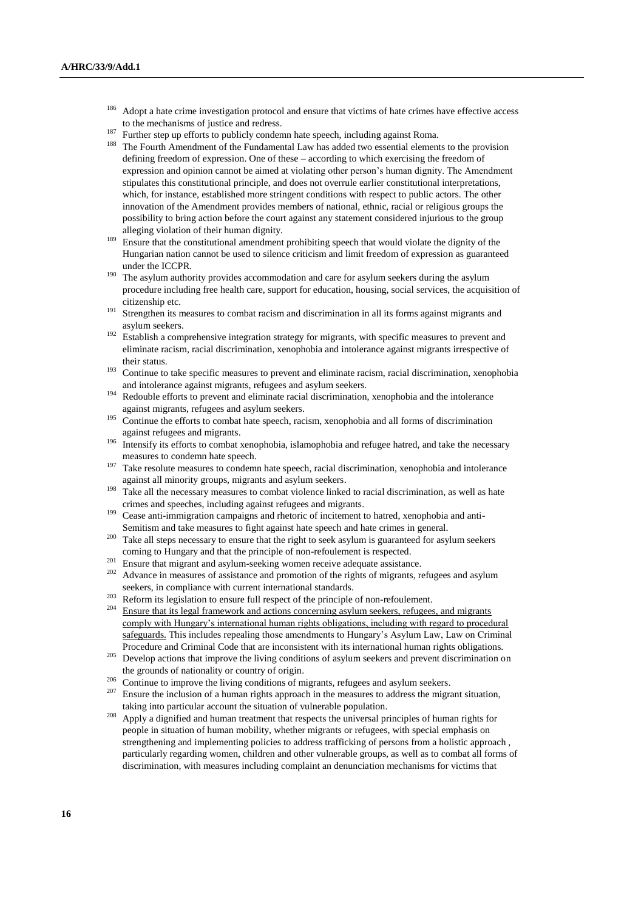- <sup>186</sup> Adopt a hate crime investigation protocol and ensure that victims of hate crimes have effective access to the mechanisms of justice and redress.
- <sup>187</sup> Further step up efforts to publicly condemn hate speech, including against Roma.
- <sup>188</sup> The Fourth Amendment of the Fundamental Law has added two essential elements to the provision defining freedom of expression. One of these – according to which exercising the freedom of expression and opinion cannot be aimed at violating other person's human dignity. The Amendment stipulates this constitutional principle, and does not overrule earlier constitutional interpretations, which, for instance, established more stringent conditions with respect to public actors. The other innovation of the Amendment provides members of national, ethnic, racial or religious groups the possibility to bring action before the court against any statement considered injurious to the group alleging violation of their human dignity.
- <sup>189</sup> Ensure that the constitutional amendment prohibiting speech that would violate the dignity of the Hungarian nation cannot be used to silence criticism and limit freedom of expression as guaranteed under the ICCPR.
- <sup>190</sup> The asylum authority provides accommodation and care for asylum seekers during the asylum procedure including free health care, support for education, housing, social services, the acquisition of citizenship etc.
- <sup>191</sup> Strengthen its measures to combat racism and discrimination in all its forms against migrants and asylum seekers.
- <sup>192</sup> Establish a comprehensive integration strategy for migrants, with specific measures to prevent and eliminate racism, racial discrimination, xenophobia and intolerance against migrants irrespective of their status.
- $193$  Continue to take specific measures to prevent and eliminate racism, racial discrimination, xenophobia and intolerance against migrants, refugees and asylum seekers.
- <sup>194</sup> Redouble efforts to prevent and eliminate racial discrimination, xenophobia and the intolerance against migrants, refugees and asylum seekers.
- <sup>195</sup> Continue the efforts to combat hate speech, racism, xenophobia and all forms of discrimination against refugees and migrants.
- <sup>196</sup> Intensify its efforts to combat xenophobia, islamophobia and refugee hatred, and take the necessary measures to condemn hate speech.
- $197$  Take resolute measures to condemn hate speech, racial discrimination, xenophobia and intolerance against all minority groups, migrants and asylum seekers.
- <sup>198</sup> Take all the necessary measures to combat violence linked to racial discrimination, as well as hate crimes and speeches, including against refugees and migrants.
- <sup>199</sup> Cease anti-immigration campaigns and rhetoric of incitement to hatred, xenophobia and anti-Semitism and take measures to fight against hate speech and hate crimes in general.
- <sup>200</sup> Take all steps necessary to ensure that the right to seek asylum is guaranteed for asylum seekers coming to Hungary and that the principle of non-refoulement is respected.
- <sup>201</sup> Ensure that migrant and asylum-seeking women receive adequate assistance.
- Advance in measures of assistance and promotion of the rights of migrants, refugees and asylum seekers, in compliance with current international standards.
- <sup>203</sup> Reform its legislation to ensure full respect of the principle of non-refoulement.
- <sup>204</sup> Ensure that its legal framework and actions concerning asylum seekers, refugees, and migrants comply with Hungary's international human rights obligations, including with regard to procedural safeguards. This includes repealing those amendments to Hungary's Asylum Law, Law on Criminal Procedure and Criminal Code that are inconsistent with its international human rights obligations.
- <sup>205</sup> Develop actions that improve the living conditions of asylum seekers and prevent discrimination on the grounds of nationality or country of origin.
- 206 Continue to improve the living conditions of migrants, refugees and asylum seekers.<br>207 Ensure the inclusion of a human rights approach in the measures to address the migrant
- Ensure the inclusion of a human rights approach in the measures to address the migrant situation, taking into particular account the situation of vulnerable population.
- <sup>208</sup> Apply a dignified and human treatment that respects the universal principles of human rights for people in situation of human mobility, whether migrants or refugees, with special emphasis on strengthening and implementing policies to address trafficking of persons from a holistic approach , particularly regarding women, children and other vulnerable groups, as well as to combat all forms of discrimination, with measures including complaint an denunciation mechanisms for victims that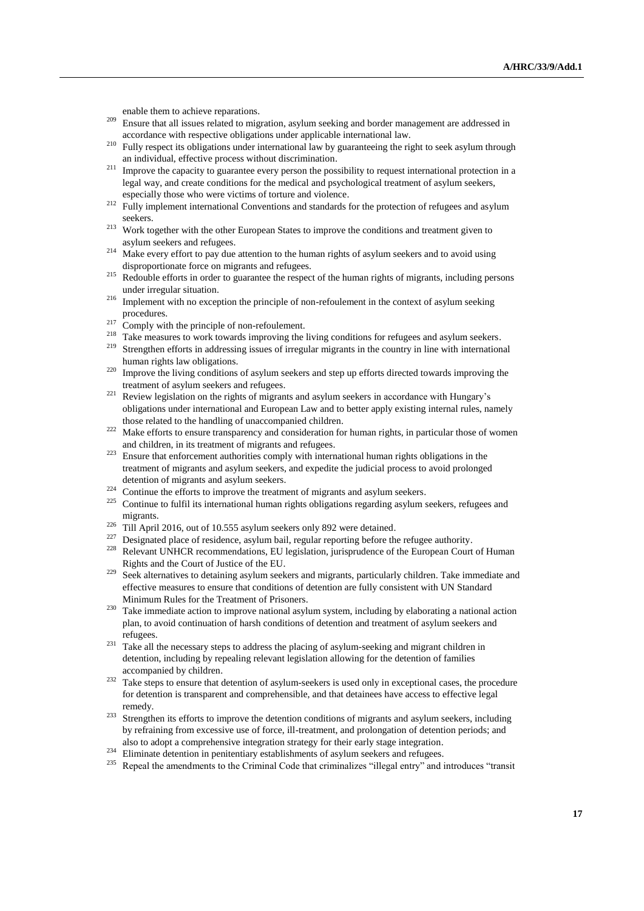enable them to achieve reparations.

- <sup>209</sup> Ensure that all issues related to migration, asylum seeking and border management are addressed in accordance with respective obligations under applicable international law.
- <sup>210</sup> Fully respect its obligations under international law by guaranteeing the right to seek asylum through an individual, effective process without discrimination.
- <sup>211</sup> Improve the capacity to guarantee every person the possibility to request international protection in a legal way, and create conditions for the medical and psychological treatment of asylum seekers, especially those who were victims of torture and violence.
- <sup>212</sup> Fully implement international Conventions and standards for the protection of refugees and asylum seekers.
- <sup>213</sup> Work together with the other European States to improve the conditions and treatment given to asylum seekers and refugees.
- $214$  Make every effort to pay due attention to the human rights of asylum seekers and to avoid using disproportionate force on migrants and refugees.
- <sup>215</sup> Redouble efforts in order to guarantee the respect of the human rights of migrants, including persons under irregular situation.
- <sup>216</sup> Implement with no exception the principle of non-refoulement in the context of asylum seeking procedures.
- $^{217}$  Comply with the principle of non-refoulement.
- <sup>218</sup> Take measures to work towards improving the living conditions for refugees and asylum seekers.
- <sup>219</sup> Strengthen efforts in addressing issues of irregular migrants in the country in line with international human rights law obligations.
- <sup>220</sup> Improve the living conditions of asylum seekers and step up efforts directed towards improving the treatment of asylum seekers and refugees.
- <sup>221</sup> Review legislation on the rights of migrants and asylum seekers in accordance with Hungary's obligations under international and European Law and to better apply existing internal rules, namely those related to the handling of unaccompanied children.
- <sup>222</sup> Make efforts to ensure transparency and consideration for human rights, in particular those of women and children, in its treatment of migrants and refugees.
- <sup>223</sup> Ensure that enforcement authorities comply with international human rights obligations in the treatment of migrants and asylum seekers, and expedite the judicial process to avoid prolonged detention of migrants and asylum seekers.
- <sup>224</sup> Continue the efforts to improve the treatment of migrants and asylum seekers.
- <sup>225</sup> Continue to fulfil its international human rights obligations regarding asylum seekers, refugees and migrants.
- <sup>226</sup> Till April 2016, out of 10.555 asylum seekers only 892 were detained.
- <sup>227</sup> Designated place of residence, asylum bail, regular reporting before the refugee authority.
- <sup>228</sup> Relevant UNHCR recommendations, EU legislation, jurisprudence of the European Court of Human Rights and the Court of Justice of the EU.
- <sup>229</sup> Seek alternatives to detaining asylum seekers and migrants, particularly children. Take immediate and effective measures to ensure that conditions of detention are fully consistent with UN Standard Minimum Rules for the Treatment of Prisoners.
- <sup>230</sup> Take immediate action to improve national asylum system, including by elaborating a national action plan, to avoid continuation of harsh conditions of detention and treatment of asylum seekers and refugees.
- <sup>231</sup> Take all the necessary steps to address the placing of asylum-seeking and migrant children in detention, including by repealing relevant legislation allowing for the detention of families accompanied by children.
- <sup>232</sup> Take steps to ensure that detention of asylum-seekers is used only in exceptional cases, the procedure for detention is transparent and comprehensible, and that detainees have access to effective legal remedy.
- <sup>233</sup> Strengthen its efforts to improve the detention conditions of migrants and asylum seekers, including by refraining from excessive use of force, ill-treatment, and prolongation of detention periods; and also to adopt a comprehensive integration strategy for their early stage integration.
- Eliminate detention in penitentiary establishments of asylum seekers and refugees.
- <sup>235</sup> Repeal the amendments to the Criminal Code that criminalizes "illegal entry" and introduces "transit